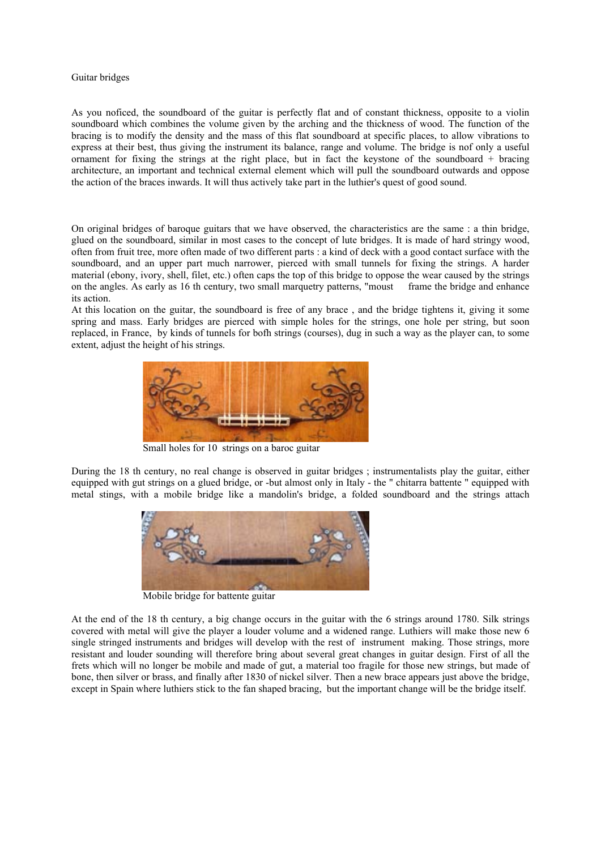## Guitar bridges

As you noficed, the soundboard of the guitar is perfectly flat and of constant thickness, opposite to a violin soundboard which combines the volume given by the arching and the thickness of wood. The function of the bracing is to modify the density and the mass of this flat soundboard at specific places, to allow vibrations to express at their best, thus giving the instrument its balance, range and volume. The bridge is nof only a useful ornament for fixing the strings at the right place, but in fact the keystone of the soundboard + bracing architecture, an important and technical external element which will pull the soundboard outwards and oppose the action of the braces inwards. It will thus actively take part in the luthier's quest of good sound.

On original bridges of baroque guitars that we have observed, the characteristics are the same : a thin bridge, glued on the soundboard, similar in most cases to the concept of lute bridges. It is made of hard stringy wood, often from fruit tree, more often made of two different parts : a kind of deck with a good contact surface with the soundboard, and an upper part much narrower, pierced with small tunnels for fixing the strings. A harder material (ebony, ivory, shell, filet, etc.) often caps the top of this bridge to oppose the wear caused by the strings on the angles. As early as 16 th century, two small marquetry patterns, "moust frame the bridge and enhance its action.

At this location on the guitar, the soundboard is free of any brace , and the bridge tightens it, giving it some spring and mass. Early bridges are pierced with simple holes for the strings, one hole per string, but soon replaced, in France, by kinds of tunnels for bofh strings (courses), dug in such a way as the player can, to some extent, adjust the height of his strings.



Small holes for 10 strings on a baroc guitar

During the 18 th century, no real change is observed in guitar bridges ; instrumentalists play the guitar, either equipped with gut strings on a glued bridge, or -but almost only in Italy - the " chitarra battente " equipped with metal stings, with a mobile bridge like a mandolin's bridge, a folded soundboard and the strings attach



Mobile bridge for battente guitar

At the end of the 18 th century, a big change occurs in the guitar with the 6 strings around 1780. Silk strings covered with metal will give the player a louder volume and a widened range. Luthiers will make those new 6 single stringed instruments and bridges will develop with the rest of instrument making. Those strings, more resistant and louder sounding will therefore bring about several great changes in guitar design. First of all the frets which will no longer be mobile and made of gut, a material too fragile for those new strings, but made of bone, then silver or brass, and finally after 1830 of nickel silver. Then a new brace appears just above the bridge, except in Spain where luthiers stick to the fan shaped bracing, but the important change will be the bridge itself.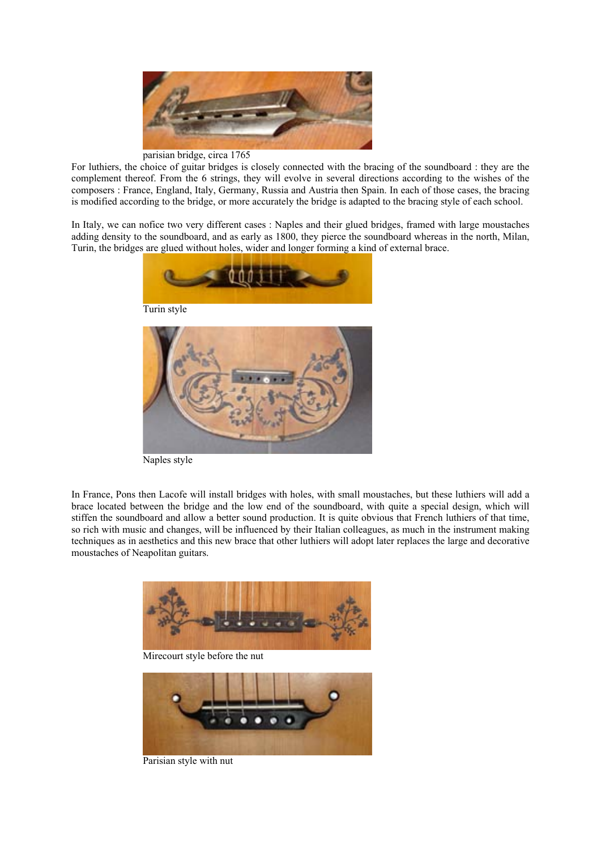

parisian bridge, circa 1765

For luthiers, the choice of guitar bridges is closely connected with the bracing of the soundboard : they are the complement thereof. From the 6 strings, they will evolve in several directions according to the wishes of the composers : France, England, Italy, Germany, Russia and Austria then Spain. In each of those cases, the bracing is modified according to the bridge, or more accurately the bridge is adapted to the bracing style of each school.

In Italy, we can nofice two very different cases : Naples and their glued bridges, framed with large moustaches adding density to the soundboard, and as early as 1800, they pierce the soundboard whereas in the north, Milan, Turin, the bridges are glued without holes, wider and longer forming a kind of external brace.



Turin style



Naples style

In France, Pons then Lacofe will install bridges with holes, with small moustaches, but these luthiers will add a brace located between the bridge and the low end of the soundboard, with quite a special design, which will stiffen the soundboard and allow a better sound production. It is quite obvious that French luthiers of that time, so rich with music and changes, will be influenced by their Italian colleagues, as much in the instrument making techniques as in aesthetics and this new brace that other luthiers will adopt later replaces the large and decorative moustaches of Neapolitan guitars.



Mirecourt style before the nut



Parisian style with nut